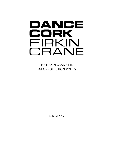# DANCE CORK FIRKIN CRANE

THE FIRKIN CRANE LTD DATA PROTECTION POLICY

AUGUST 2016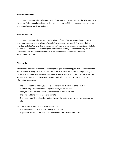## **Privacy commitment**

Firkin Crane is committed to safeguarding all of its users. We have developed the following Data Protection Policy to deal with issues which may concern you. This policy may change from time to time so please check it periodically.

## **Privacy statement**

Firkin Crane is committed to protecting the privacy of users. We are aware that as a user you care about the security and privacy of your information. Any personal information that you volunteer to Firkin Crane, either as a program participant, event attendee, website or e-bulletin subscriber will be treated with the highest standards of security and confidentiality, strictly in accordance with the Data Protection Act, 1988, as amended by the Data Protection (Amendment) Act, 2003.

## **What we do**

Any user information we collect is with the specific goal of providing you with the best possible user experience. Being familiar with user preferences is an essential element of providing a satisfactory experience for visitors to our website and also to all of our services. If you visit our website to browse, read or download, we automatically collect and store the following information about you:

- The IP address from which you access our website (an IP address is the number automatically assigned to your computer when you are online)
- The type of browser and operating system used to access our site
- The date and time of your access to our site
- The pages you visit; and the internet address of the website from which you accessed our site

We use this information for the following purposes:

- To make sure our sites is as user friendly as possible
- To gather statistics on the relative interest in different sections of the site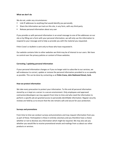## **What we don't do**

We do not, under any circumstances:

- Link IP addresses to anything that would identify you personally
- Share the information we track on this site, in any form, with any third party
- Release personal information about any user

If you provide us with personal information in an email message to one of the addresses on our site or by filling out a form with your personal information, we will only use the information to respond to your message and to help us provide you with the material you requested.

Firkin Crane's e-bulletin is sent only to those who have requested it.

Our website contains links to other websites we think may be of interest to our users. We have no control over the privacy policies or content of those websites.

# **Correcting / updating personal information**

If your personal information changes or if you no longer wish to subscribe to our services, we will endeavour to correct, update or remove the personal information provided to us as speedily as possible. This can be done by contacting us at **Firkin Crane, John Redmond Street, Cork.** 

# **How we protect information**

We take every precaution to protect your information. To this end all personal information stored by us is kept on a server in a secure environment. Only employees and approved contractors/developers we may appoint from time to time and who need the information to perform a specific job are granted access to personally identifiable information. Regular security reviews are held by us to ensure that the site remains safe and secure for your protection.

# **Surveys and promotions**

From time to time we conduct surveys and promotions and may request information from you as part of these. Participation is these in entirely voluntary and you therefore have a choice whether or not to disclose any information which might be required. We may also ask you whether you would like to receive promotional emails and mailings from us about our other products or services.